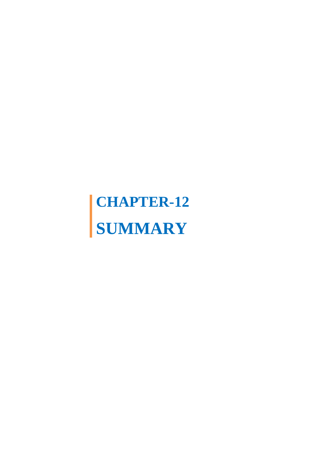## **CHAPTER-12 SUMMARY**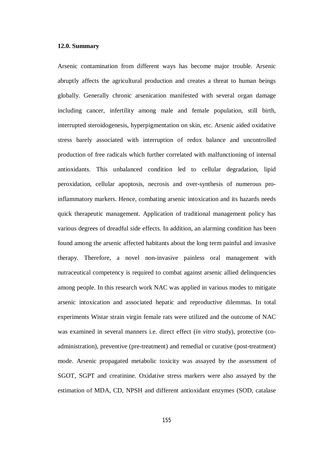## **12.0. Summary**

Arsenic contamination from different ways has become major trouble. Arsenic abruptly affects the agricultural production and creates a threat to human beings globally. Generally chronic arsenication manifested with several organ damage including cancer, infertility among male and female population, still birth, interrupted steroidogenesis, hyperpigmentation on skin, etc. Arsenic aided oxidative stress barely associated with interruption of redox balance and uncontrolled production of free radicals which further correlated with malfunctioning of internal antioxidants. This unbalanced condition led to cellular degradation, lipid peroxidation, cellular apoptosis, necrosis and over-synthesis of numerous proinflammatory markers. Hence, combating arsenic intoxication and its hazards needs quick therapeutic management. Application of traditional management policy has various degrees of dreadful side effects. In addition, an alarming condition has been found among the arsenic affected habitants about the long term painful and invasive therapy. Therefore, a novel non-invasive painless oral management with nutraceutical competency is required to combat against arsenic allied delinquencies among people. In this research work NAC was applied in various modes to mitigate arsenic intoxication and associated hepatic and reproductive dilemmas. In total experiments Wistar strain virgin female rats were utilized and the outcome of NAC was examined in several manners i.e. direct effect (*in vitro* study), protective (coadministration), preventive (pre-treatment) and remedial or curative (post-treatment) mode. Arsenic propagated metabolic toxicity was assayed by the assessment of SGOT, SGPT and creatinine. Oxidative stress markers were also assayed by the estimation of MDA, CD, NPSH and different antioxidant enzymes (SOD, catalase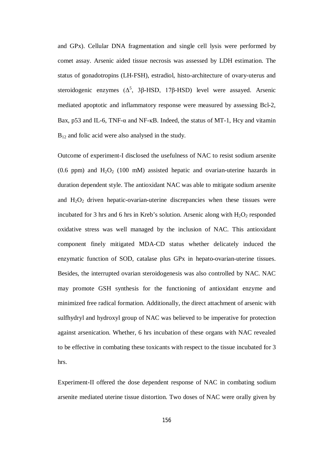and GPx). Cellular DNA fragmentation and single cell lysis were performed by comet assay. Arsenic aided tissue necrosis was assessed by LDH estimation. The status of gonadotropins (LH-FSH), estradiol, histo-architecture of ovary-uterus and steroidogenic enzymes  $(\Delta^5, 3\beta$ -HSD, 17 $\beta$ -HSD) level were assayed. Arsenic mediated apoptotic and inflammatory response were measured by assessing Bcl-2, Bax, p53 and IL-6, TNF- $\alpha$  and NF- $\kappa$ B. Indeed, the status of MT-1, Hcy and vitamin B<sub>12</sub> and folic acid were also analysed in the study.

Outcome of experiment-I disclosed the usefulness of NAC to resist sodium arsenite (0.6 ppm) and  $H_2O_2$  (100 mM) assisted hepatic and ovarian-uterine hazards in duration dependent style. The antioxidant NAC was able to mitigate sodium arsenite and  $H_2O_2$  driven hepatic-ovarian-uterine discrepancies when these tissues were incubated for 3 hrs and 6 hrs in Kreb's solution. Arsenic along with  $H_2O_2$  responded oxidative stress was well managed by the inclusion of NAC. This antioxidant component finely mitigated MDA-CD status whether delicately induced the enzymatic function of SOD, catalase plus GPx in hepato-ovarian-uterine tissues. Besides, the interrupted ovarian steroidogenesis was also controlled by NAC. NAC may promote GSH synthesis for the functioning of antioxidant enzyme and minimized free radical formation. Additionally, the direct attachment of arsenic with sulfhydryl and hydroxyl group of NAC was believed to be imperative for protection against arsenication. Whether, 6 hrs incubation of these organs with NAC revealed to be effective in combating these toxicants with respect to the tissue incubated for 3 hrs.

Experiment-II offered the dose dependent response of NAC in combating sodium arsenite mediated uterine tissue distortion. Two doses of NAC were orally given by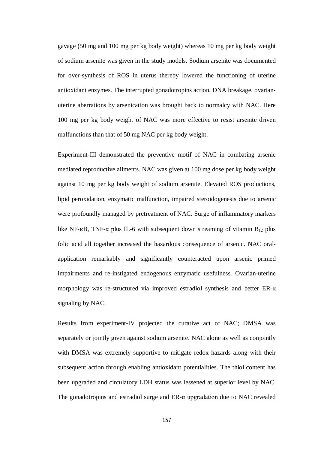gavage (50 mg and 100 mg per kg body weight) whereas 10 mg per kg body weight of sodium arsenite was given in the study models. Sodium arsenite was documented for over-synthesis of ROS in uterus thereby lowered the functioning of uterine antioxidant enzymes. The interrupted gonadotropins action, DNA breakage, ovarianuterine aberrations by arsenication was brought back to normalcy with NAC. Here 100 mg per kg body weight of NAC was more effective to resist arsenite driven malfunctions than that of 50 mg NAC per kg body weight.

Experiment-III demonstrated the preventive motif of NAC in combating arsenic mediated reproductive ailments. NAC was given at 100 mg dose per kg body weight against 10 mg per kg body weight of sodium arsenite. Elevated ROS productions, lipid peroxidation, enzymatic malfunction, impaired steroidogenesis due to arsenic were profoundly managed by pretreatment of NAC. Surge of inflammatory markers like NF- $\kappa$ B, TNF- $\alpha$  plus IL-6 with subsequent down streaming of vitamin B<sub>12</sub> plus folic acid all together increased the hazardous consequence of arsenic. NAC oralapplication remarkably and significantly counteracted upon arsenic primed impairments and re-instigated endogenous enzymatic usefulness. Ovarian-uterine morphology was re-structured via improved estradiol synthesis and better ER-α signaling by NAC.

Results from experiment-IV projected the curative act of NAC; DMSA was separately or jointly given against sodium arsenite. NAC alone as well as conjointly with DMSA was extremely supportive to mitigate redox hazards along with their subsequent action through enabling antioxidant potentialities. The thiol content has been upgraded and circulatory LDH status was lessened at superior level by NAC. The gonadotropins and estradiol surge and ER-α upgradation due to NAC revealed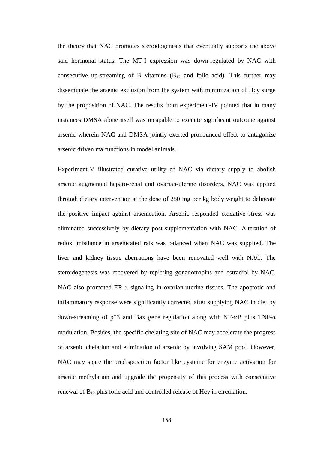the theory that NAC promotes steroidogenesis that eventually supports the above said hormonal status. The MT-I expression was down-regulated by NAC with consecutive up-streaming of B vitamins  $(B_{12}$  and folic acid). This further may disseminate the arsenic exclusion from the system with minimization of Hcy surge by the proposition of NAC. The results from experiment-IV pointed that in many instances DMSA alone itself was incapable to execute significant outcome against arsenic wherein NAC and DMSA jointly exerted pronounced effect to antagonize arsenic driven malfunctions in model animals.

Experiment-V illustrated curative utility of NAC via dietary supply to abolish arsenic augmented hepato-renal and ovarian-uterine disorders. NAC was applied through dietary intervention at the dose of 250 mg per kg body weight to delineate the positive impact against arsenication. Arsenic responded oxidative stress was eliminated successively by dietary post-supplementation with NAC. Alteration of redox imbalance in arsenicated rats was balanced when NAC was supplied. The liver and kidney tissue aberrations have been renovated well with NAC. The steroidogenesis was recovered by repleting gonadotropins and estradiol by NAC. NAC also promoted ER-α signaling in ovarian-uterine tissues. The apoptotic and inflammatory response were significantly corrected after supplying NAC in diet by down-streaming of p53 and Bax gene regulation along with NF- $\kappa$ B plus TNF- $\alpha$ modulation. Besides, the specific chelating site of NAC may accelerate the progress of arsenic chelation and elimination of arsenic by involving SAM pool. However, NAC may spare the predisposition factor like cysteine for enzyme activation for arsenic methylation and upgrade the propensity of this process with consecutive renewal of  $B_{12}$  plus folic acid and controlled release of Hcy in circulation.